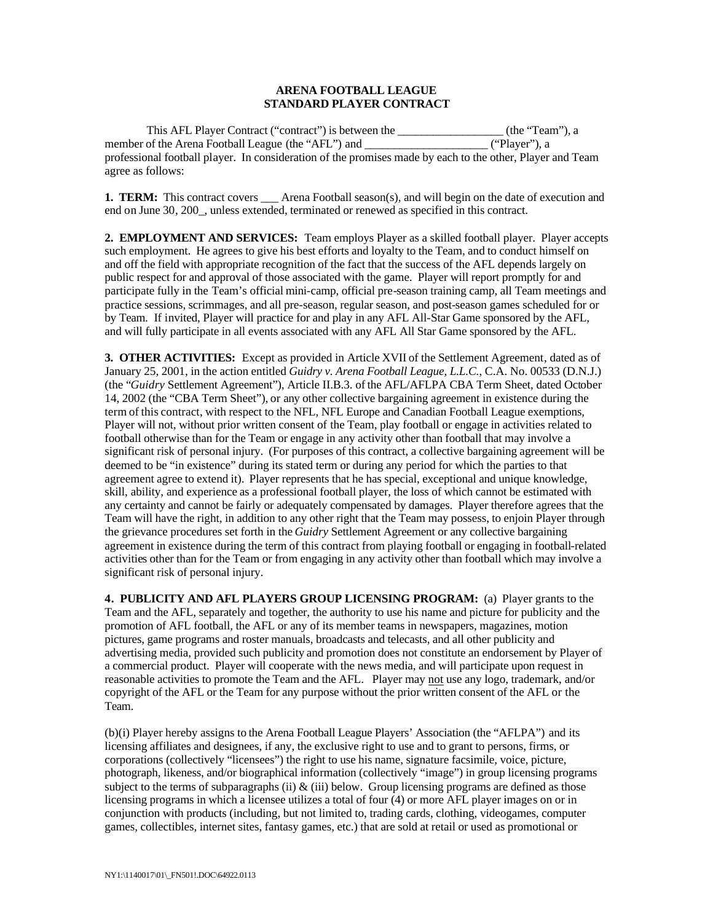#### **ARENA FOOTBALL LEAGUE STANDARD PLAYER CONTRACT**

This AFL Player Contract ("contract") is between the \_\_\_\_\_\_\_\_\_\_\_\_\_\_\_\_\_\_ (the "Team"), a member of the Arena Football League (the "AFL") and  $($ "Player"), a professional football player. In consideration of the promises made by each to the other, Player and Team agree as follows:

**1. TERM:** This contract covers \_\_\_ Arena Football season(s), and will begin on the date of execution and end on June 30, 200\_, unless extended, terminated or renewed as specified in this contract.

**2. EMPLOYMENT AND SERVICES:** Team employs Player as a skilled football player. Player accepts such employment. He agrees to give his best efforts and loyalty to the Team, and to conduct himself on and off the field with appropriate recognition of the fact that the success of the AFL depends largely on public respect for and approval of those associated with the game. Player will report promptly for and participate fully in the Team's official mini-camp, official pre-season training camp, all Team meetings and practice sessions, scrimmages, and all pre-season, regular season, and post-season games scheduled for or by Team. If invited, Player will practice for and play in any AFL All-Star Game sponsored by the AFL, and will fully participate in all events associated with any AFL All Star Game sponsored by the AFL.

**3. OTHER ACTIVITIES:** Except as provided in Article XVII of the Settlement Agreement, dated as of January 25, 2001, in the action entitled *Guidry v. Arena Football League, L.L.C.*, C.A. No. 00533 (D.N.J.) (the "*Guidry* Settlement Agreement"), Article II.B.3. of the AFL/AFLPA CBA Term Sheet, dated October 14, 2002 (the "CBA Term Sheet"), or any other collective bargaining agreement in existence during the term of this contract, with respect to the NFL, NFL Europe and Canadian Football League exemptions, Player will not, without prior written consent of the Team, play football or engage in activities related to football otherwise than for the Team or engage in any activity other than football that may involve a significant risk of personal injury. (For purposes of this contract, a collective bargaining agreement will be deemed to be "in existence" during its stated term or during any period for which the parties to that agreement agree to extend it). Player represents that he has special, exceptional and unique knowledge, skill, ability, and experience as a professional football player, the loss of which cannot be estimated with any certainty and cannot be fairly or adequately compensated by damages. Player therefore agrees that the Team will have the right, in addition to any other right that the Team may possess, to enjoin Player through the grievance procedures set forth in the *Guidry* Settlement Agreement or any collective bargaining agreement in existence during the term of this contract from playing football or engaging in football-related activities other than for the Team or from engaging in any activity other than football which may involve a significant risk of personal injury.

**4. PUBLICITY AND AFL PLAYERS GROUP LICENSING PROGRAM:** (a) Player grants to the Team and the AFL, separately and together, the authority to use his name and picture for publicity and the promotion of AFL football, the AFL or any of its member teams in newspapers, magazines, motion pictures, game programs and roster manuals, broadcasts and telecasts, and all other publicity and advertising media, provided such publicity and promotion does not constitute an endorsement by Player of a commercial product. Player will cooperate with the news media, and will participate upon request in reasonable activities to promote the Team and the AFL. Player may not use any logo, trademark, and/or copyright of the AFL or the Team for any purpose without the prior written consent of the AFL or the Team.

(b)(i) Player hereby assigns to the Arena Football League Players' Association (the "AFLPA") and its licensing affiliates and designees, if any, the exclusive right to use and to grant to persons, firms, or corporations (collectively "licensees") the right to use his name, signature facsimile, voice, picture, photograph, likeness, and/or biographical information (collectively "image") in group licensing programs subject to the terms of subparagraphs (ii)  $\&$  (iii) below. Group licensing programs are defined as those licensing programs in which a licensee utilizes a total of four (4) or more AFL player images on or in conjunction with products (including, but not limited to, trading cards, clothing, videogames, computer games, collectibles, internet sites, fantasy games, etc.) that are sold at retail or used as promotional or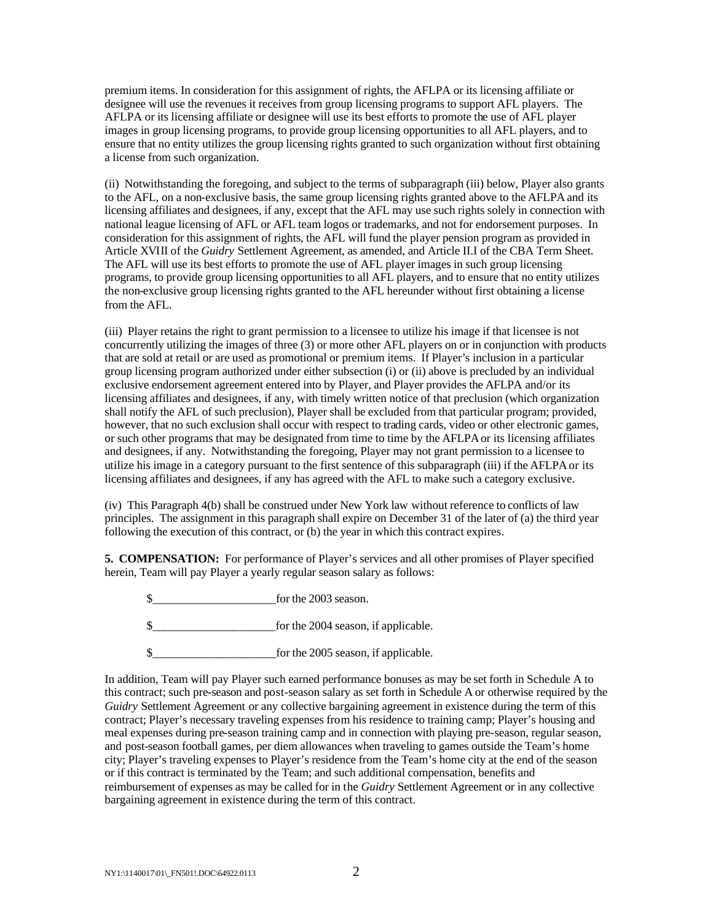premium items. In consideration for this assignment of rights, the AFLPA or its licensing affiliate or designee will use the revenues it receives from group licensing programs to support AFL players. The AFLPA or its licensing affiliate or designee will use its best efforts to promote the use of AFL player images in group licensing programs, to provide group licensing opportunities to all AFL players, and to ensure that no entity utilizes the group licensing rights granted to such organization without first obtaining a license from such organization.

(ii) Notwithstanding the foregoing, and subject to the terms of subparagraph (iii) below, Player also grants to the AFL, on a non-exclusive basis, the same group licensing rights granted above to the AFLPA and its licensing affiliates and designees, if any, except that the AFL may use such rights solely in connection with national league licensing of AFL or AFL team logos or trademarks, and not for endorsement purposes. In consideration for this assignment of rights, the AFL will fund the player pension program as provided in Article XVIII of the *Guidry* Settlement Agreement, as amended, and Article II.I of the CBA Term Sheet. The AFL will use its best efforts to promote the use of AFL player images in such group licensing programs, to provide group licensing opportunities to all AFL players, and to ensure that no entity utilizes the non-exclusive group licensing rights granted to the AFL hereunder without first obtaining a license from the AFL.

(iii) Player retains the right to grant permission to a licensee to utilize his image if that licensee is not concurrently utilizing the images of three (3) or more other AFL players on or in conjunction with products that are sold at retail or are used as promotional or premium items. If Player's inclusion in a particular group licensing program authorized under either subsection (i) or (ii) above is precluded by an individual exclusive endorsement agreement entered into by Player, and Player provides the AFLPA and/or its licensing affiliates and designees, if any, with timely written notice of that preclusion (which organization shall notify the AFL of such preclusion), Player shall be excluded from that particular program; provided, however, that no such exclusion shall occur with respect to trading cards, video or other electronic games, or such other programs that may be designated from time to time by the AFLPA or its licensing affiliates and designees, if any. Notwithstanding the foregoing, Player may not grant permission to a licensee to utilize his image in a category pursuant to the first sentence of this subparagraph (iii) if the AFLPA or its licensing affiliates and designees, if any has agreed with the AFL to make such a category exclusive.

(iv) This Paragraph 4(b) shall be construed under New York law without reference to conflicts of law principles. The assignment in this paragraph shall expire on December 31 of the later of (a) the third year following the execution of this contract, or (b) the year in which this contract expires.

**5. COMPENSATION:** For performance of Player's services and all other promises of Player specified herein, Team will pay Player a yearly regular season salary as follows:

\$ for the 2003 season.

\$\_\_\_\_\_\_\_\_\_\_\_\_\_\_\_\_\_\_\_\_\_for the 2004 season, if applicable.

\$\_\_\_\_\_\_\_\_\_\_\_\_\_\_\_\_\_\_\_\_\_for the 2005 season, if applicable.

In addition, Team will pay Player such earned performance bonuses as may be set forth in Schedule A to this contract; such pre-season and post-season salary as set forth in Schedule A or otherwise required by the *Guidry* Settlement Agreement or any collective bargaining agreement in existence during the term of this contract; Player's necessary traveling expenses from his residence to training camp; Player's housing and meal expenses during pre-season training camp and in connection with playing pre-season, regular season, and post-season football games, per diem allowances when traveling to games outside the Team's home city; Player's traveling expenses to Player's residence from the Team's home city at the end of the season or if this contract is terminated by the Team; and such additional compensation, benefits and reimbursement of expenses as may be called for in the *Guidry* Settlement Agreement or in any collective bargaining agreement in existence during the term of this contract.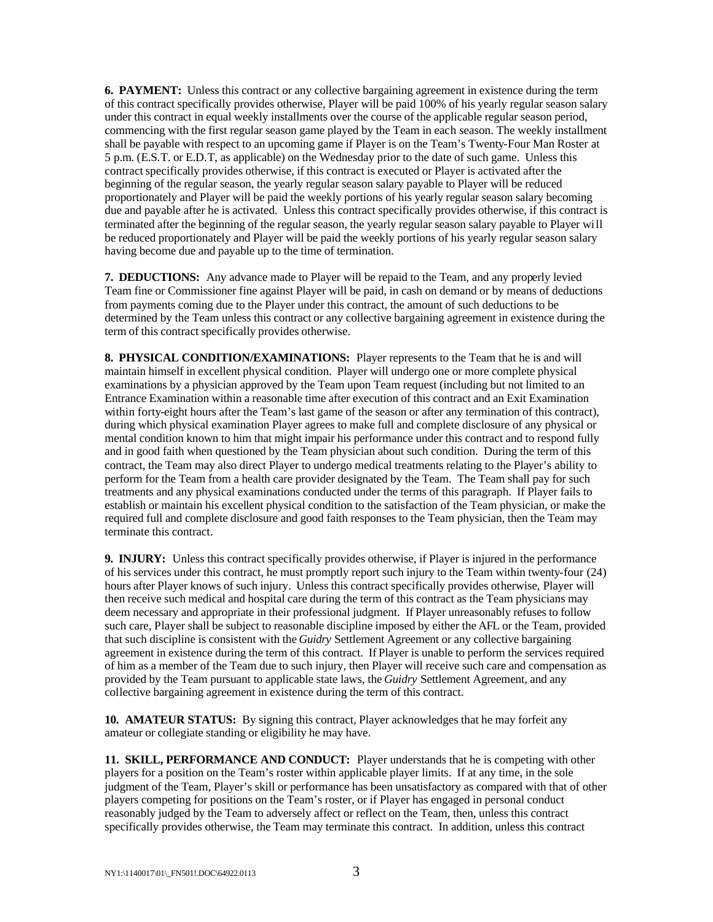**6. PAYMENT:** Unless this contract or any collective bargaining agreement in existence during the term of this contract specifically provides otherwise, Player will be paid 100% of his yearly regular season salary under this contract in equal weekly installments over the course of the applicable regular season period, commencing with the first regular season game played by the Team in each season. The weekly installment shall be payable with respect to an upcoming game if Player is on the Team's Twenty-Four Man Roster at 5 p.m. (E.S.T. or E.D.T, as applicable) on the Wednesday prior to the date of such game. Unless this contract specifically provides otherwise, if this contract is executed or Player is activated after the beginning of the regular season, the yearly regular season salary payable to Player will be reduced proportionately and Player will be paid the weekly portions of his yearly regular season salary becoming due and payable after he is activated. Unless this contract specifically provides otherwise, if this contract is terminated after the beginning of the regular season, the yearly regular season salary payable to Player will be reduced proportionately and Player will be paid the weekly portions of his yearly regular season salary having become due and payable up to the time of termination.

**7. DEDUCTIONS:** Any advance made to Player will be repaid to the Team, and any properly levied Team fine or Commissioner fine against Player will be paid, in cash on demand or by means of deductions from payments coming due to the Player under this contract, the amount of such deductions to be determined by the Team unless this contract or any collective bargaining agreement in existence during the term of this contract specifically provides otherwise.

**8. PHYSICAL CONDITION/EXAMINATIONS:** Player represents to the Team that he is and will maintain himself in excellent physical condition. Player will undergo one or more complete physical examinations by a physician approved by the Team upon Team request (including but not limited to an Entrance Examination within a reasonable time after execution of this contract and an Exit Examination within forty-eight hours after the Team's last game of the season or after any termination of this contract), during which physical examination Player agrees to make full and complete disclosure of any physical or mental condition known to him that might impair his performance under this contract and to respond fully and in good faith when questioned by the Team physician about such condition. During the term of this contract, the Team may also direct Player to undergo medical treatments relating to the Player's ability to perform for the Team from a health care provider designated by the Team. The Team shall pay for such treatments and any physical examinations conducted under the terms of this paragraph. If Player fails to establish or maintain his excellent physical condition to the satisfaction of the Team physician, or make the required full and complete disclosure and good faith responses to the Team physician, then the Team may terminate this contract.

**9. INJURY:** Unless this contract specifically provides otherwise, if Player is injured in the performance of his services under this contract, he must promptly report such injury to the Team within twenty-four (24) hours after Player knows of such injury. Unless this contract specifically provides otherwise, Player will then receive such medical and hospital care during the term of this contract as the Team physicians may deem necessary and appropriate in their professional judgment. If Player unreasonably refuses to follow such care, Player shall be subject to reasonable discipline imposed by either the AFL or the Team, provided that such discipline is consistent with the *Guidry* Settlement Agreement or any collective bargaining agreement in existence during the term of this contract. If Player is unable to perform the services required of him as a member of the Team due to such injury, then Player will receive such care and compensation as provided by the Team pursuant to applicable state laws, the *Guidry* Settlement Agreement, and any collective bargaining agreement in existence during the term of this contract.

**10. AMATEUR STATUS:** By signing this contract, Player acknowledges that he may forfeit any amateur or collegiate standing or eligibility he may have.

**11. SKILL, PERFORMANCE AND CONDUCT:** Player understands that he is competing with other players for a position on the Team's roster within applicable player limits. If at any time, in the sole judgment of the Team, Player's skill or performance has been unsatisfactory as compared with that of other players competing for positions on the Team's roster, or if Player has engaged in personal conduct reasonably judged by the Team to adversely affect or reflect on the Team, then, unless this contract specifically provides otherwise, the Team may terminate this contract. In addition, unless this contract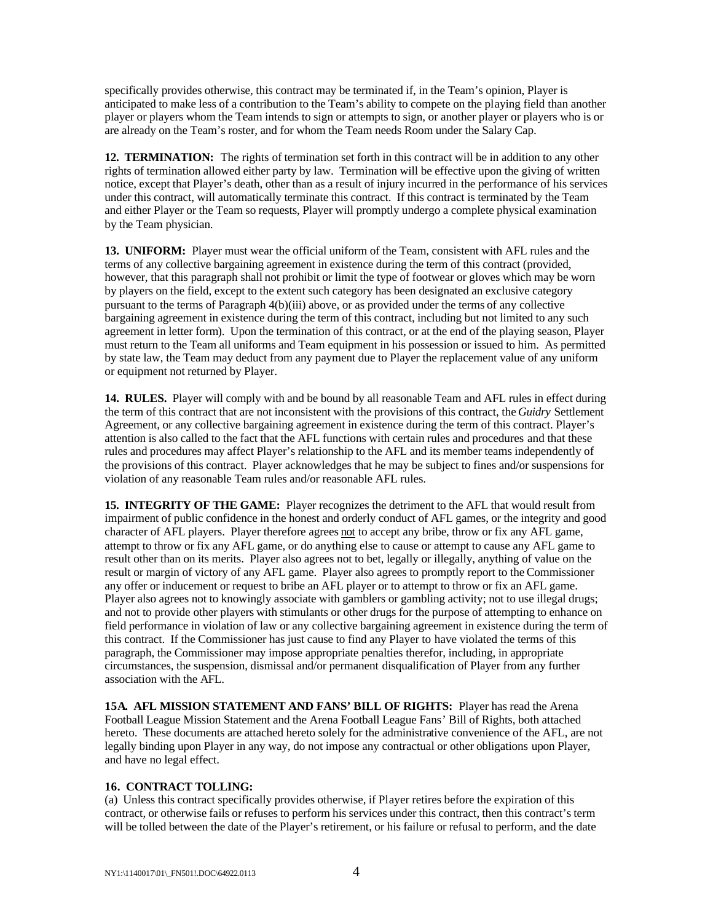specifically provides otherwise, this contract may be terminated if, in the Team's opinion, Player is anticipated to make less of a contribution to the Team's ability to compete on the playing field than another player or players whom the Team intends to sign or attempts to sign, or another player or players who is or are already on the Team's roster, and for whom the Team needs Room under the Salary Cap.

**12. TERMINATION:** The rights of termination set forth in this contract will be in addition to any other rights of termination allowed either party by law. Termination will be effective upon the giving of written notice, except that Player's death, other than as a result of injury incurred in the performance of his services under this contract, will automatically terminate this contract. If this contract is terminated by the Team and either Player or the Team so requests, Player will promptly undergo a complete physical examination by the Team physician.

**13. UNIFORM:** Player must wear the official uniform of the Team, consistent with AFL rules and the terms of any collective bargaining agreement in existence during the term of this contract (provided, however, that this paragraph shall not prohibit or limit the type of footwear or gloves which may be worn by players on the field, except to the extent such category has been designated an exclusive category pursuant to the terms of Paragraph 4(b)(iii) above, or as provided under the terms of any collective bargaining agreement in existence during the term of this contract, including but not limited to any such agreement in letter form). Upon the termination of this contract, or at the end of the playing season, Player must return to the Team all uniforms and Team equipment in his possession or issued to him. As permitted by state law, the Team may deduct from any payment due to Player the replacement value of any uniform or equipment not returned by Player.

**14. RULES.** Player will comply with and be bound by all reasonable Team and AFL rules in effect during the term of this contract that are not inconsistent with the provisions of this contract, the *Guidry* Settlement Agreement, or any collective bargaining agreement in existence during the term of this contract. Player's attention is also called to the fact that the AFL functions with certain rules and procedures and that these rules and procedures may affect Player's relationship to the AFL and its member teams independently of the provisions of this contract. Player acknowledges that he may be subject to fines and/or suspensions for violation of any reasonable Team rules and/or reasonable AFL rules.

15. **INTEGRITY OF THE GAME:** Player recognizes the detriment to the AFL that would result from impairment of public confidence in the honest and orderly conduct of AFL games, or the integrity and good character of AFL players. Player therefore agrees not to accept any bribe, throw or fix any AFL game, attempt to throw or fix any AFL game, or do anything else to cause or attempt to cause any AFL game to result other than on its merits. Player also agrees not to bet, legally or illegally, anything of value on the result or margin of victory of any AFL game. Player also agrees to promptly report to the Commissioner any offer or inducement or request to bribe an AFL player or to attempt to throw or fix an AFL game. Player also agrees not to knowingly associate with gamblers or gambling activity; not to use illegal drugs; and not to provide other players with stimulants or other drugs for the purpose of attempting to enhance on field performance in violation of law or any collective bargaining agreement in existence during the term of this contract. If the Commissioner has just cause to find any Player to have violated the terms of this paragraph, the Commissioner may impose appropriate penalties therefor, including, in appropriate circumstances, the suspension, dismissal and/or permanent disqualification of Player from any further association with the AFL.

**15A. AFL MISSION STATEMENT AND FANS' BILL OF RIGHTS:** Player has read the Arena Football League Mission Statement and the Arena Football League Fans' Bill of Rights, both attached hereto. These documents are attached hereto solely for the administrative convenience of the AFL, are not legally binding upon Player in any way, do not impose any contractual or other obligations upon Player, and have no legal effect.

### **16. CONTRACT TOLLING:**

(a) Unless this contract specifically provides otherwise, if Player retires before the expiration of this contract, or otherwise fails or refuses to perform his services under this contract, then this contract's term will be tolled between the date of the Player's retirement, or his failure or refusal to perform, and the date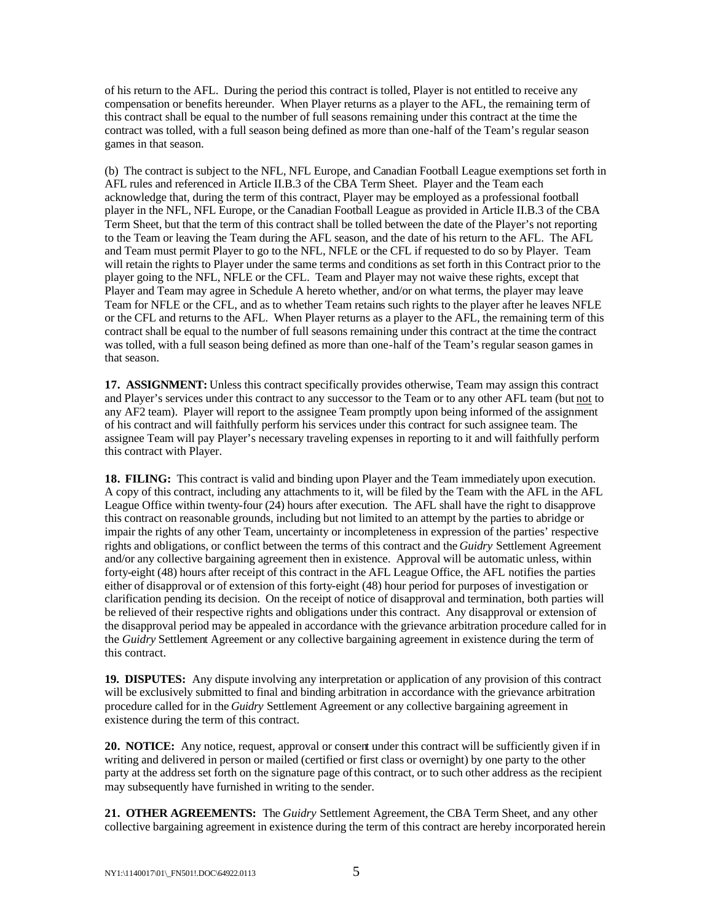of his return to the AFL. During the period this contract is tolled, Player is not entitled to receive any compensation or benefits hereunder. When Player returns as a player to the AFL, the remaining term of this contract shall be equal to the number of full seasons remaining under this contract at the time the contract was tolled, with a full season being defined as more than one-half of the Team's regular season games in that season.

(b) The contract is subject to the NFL, NFL Europe, and Canadian Football League exemptions set forth in AFL rules and referenced in Article II.B.3 of the CBA Term Sheet. Player and the Team each acknowledge that, during the term of this contract, Player may be employed as a professional football player in the NFL, NFL Europe, or the Canadian Football League as provided in Article II.B.3 of the CBA Term Sheet, but that the term of this contract shall be tolled between the date of the Player's not reporting to the Team or leaving the Team during the AFL season, and the date of his return to the AFL. The AFL and Team must permit Player to go to the NFL, NFLE or the CFL if requested to do so by Player. Team will retain the rights to Player under the same terms and conditions as set forth in this Contract prior to the player going to the NFL, NFLE or the CFL. Team and Player may not waive these rights, except that Player and Team may agree in Schedule A hereto whether, and/or on what terms, the player may leave Team for NFLE or the CFL, and as to whether Team retains such rights to the player after he leaves NFLE or the CFL and returns to the AFL. When Player returns as a player to the AFL, the remaining term of this contract shall be equal to the number of full seasons remaining under this contract at the time the contract was tolled, with a full season being defined as more than one-half of the Team's regular season games in that season.

**17. ASSIGNMENT:** Unless this contract specifically provides otherwise, Team may assign this contract and Player's services under this contract to any successor to the Team or to any other AFL team (but not to any AF2 team). Player will report to the assignee Team promptly upon being informed of the assignment of his contract and will faithfully perform his services under this contract for such assignee team. The assignee Team will pay Player's necessary traveling expenses in reporting to it and will faithfully perform this contract with Player.

**18. FILING:** This contract is valid and binding upon Player and the Team immediately upon execution. A copy of this contract, including any attachments to it, will be filed by the Team with the AFL in the AFL League Office within twenty-four (24) hours after execution. The AFL shall have the right to disapprove this contract on reasonable grounds, including but not limited to an attempt by the parties to abridge or impair the rights of any other Team, uncertainty or incompleteness in expression of the parties' respective rights and obligations, or conflict between the terms of this contract and the *Guidry* Settlement Agreement and/or any collective bargaining agreement then in existence. Approval will be automatic unless, within forty-eight (48) hours after receipt of this contract in the AFL League Office, the AFL notifies the parties either of disapproval or of extension of this forty-eight (48) hour period for purposes of investigation or clarification pending its decision. On the receipt of notice of disapproval and termination, both parties will be relieved of their respective rights and obligations under this contract. Any disapproval or extension of the disapproval period may be appealed in accordance with the grievance arbitration procedure called for in the *Guidry* Settlement Agreement or any collective bargaining agreement in existence during the term of this contract.

**19. DISPUTES:** Any dispute involving any interpretation or application of any provision of this contract will be exclusively submitted to final and binding arbitration in accordance with the grievance arbitration procedure called for in the *Guidry* Settlement Agreement or any collective bargaining agreement in existence during the term of this contract.

**20. NOTICE:** Any notice, request, approval or consent under this contract will be sufficiently given if in writing and delivered in person or mailed (certified or first class or overnight) by one party to the other party at the address set forth on the signature page of this contract, or to such other address as the recipient may subsequently have furnished in writing to the sender.

**21. OTHER AGREEMENTS:** The *Guidry* Settlement Agreement, the CBA Term Sheet, and any other collective bargaining agreement in existence during the term of this contract are hereby incorporated herein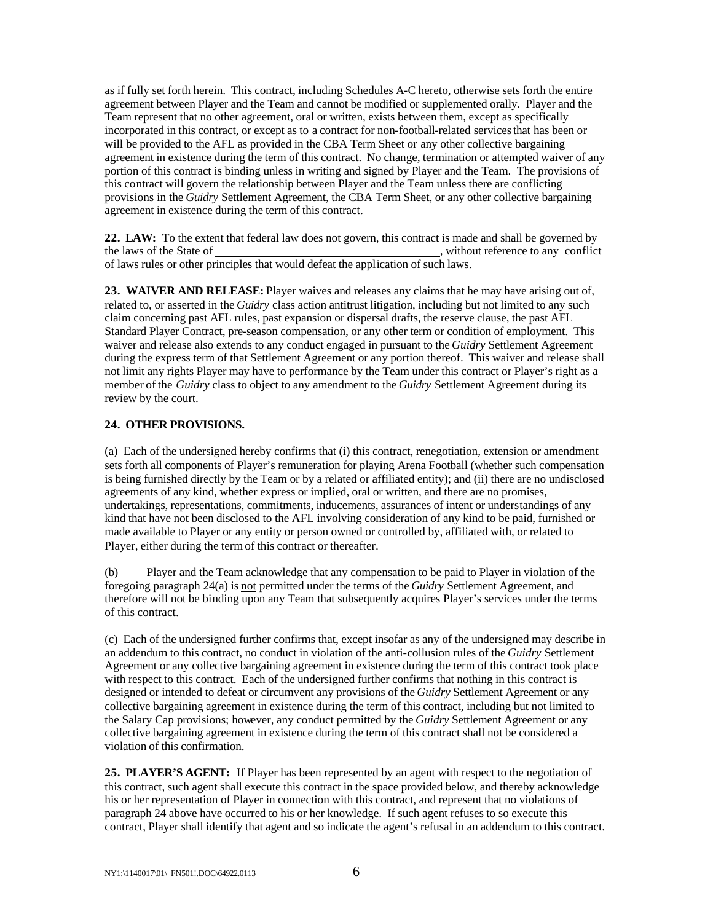as if fully set forth herein. This contract, including Schedules A-C hereto, otherwise sets forth the entire agreement between Player and the Team and cannot be modified or supplemented orally. Player and the Team represent that no other agreement, oral or written, exists between them, except as specifically incorporated in this contract, or except as to a contract for non-football-related services that has been or will be provided to the AFL as provided in the CBA Term Sheet or any other collective bargaining agreement in existence during the term of this contract. No change, termination or attempted waiver of any portion of this contract is binding unless in writing and signed by Player and the Team. The provisions of this contract will govern the relationship between Player and the Team unless there are conflicting provisions in the *Guidry* Settlement Agreement, the CBA Term Sheet, or any other collective bargaining agreement in existence during the term of this contract.

**22. LAW:** To the extent that federal law does not govern, this contract is made and shall be governed by the laws of the State of , without reference to any conflict of laws rules or other principles that would defeat the application of such laws.

**23. WAIVER AND RELEASE:** Player waives and releases any claims that he may have arising out of, related to, or asserted in the *Guidry* class action antitrust litigation, including but not limited to any such claim concerning past AFL rules, past expansion or dispersal drafts, the reserve clause, the past AFL Standard Player Contract, pre-season compensation, or any other term or condition of employment. This waiver and release also extends to any conduct engaged in pursuant to the *Guidry* Settlement Agreement during the express term of that Settlement Agreement or any portion thereof. This waiver and release shall not limit any rights Player may have to performance by the Team under this contract or Player's right as a member of the *Guidry* class to object to any amendment to the *Guidry* Settlement Agreement during its review by the court.

### **24. OTHER PROVISIONS.**

(a) Each of the undersigned hereby confirms that (i) this contract, renegotiation, extension or amendment sets forth all components of Player's remuneration for playing Arena Football (whether such compensation is being furnished directly by the Team or by a related or affiliated entity); and (ii) there are no undisclosed agreements of any kind, whether express or implied, oral or written, and there are no promises, undertakings, representations, commitments, inducements, assurances of intent or understandings of any kind that have not been disclosed to the AFL involving consideration of any kind to be paid, furnished or made available to Player or any entity or person owned or controlled by, affiliated with, or related to Player, either during the term of this contract or thereafter.

(b) Player and the Team acknowledge that any compensation to be paid to Player in violation of the foregoing paragraph 24(a) is not permitted under the terms of the *Guidry* Settlement Agreement, and therefore will not be binding upon any Team that subsequently acquires Player's services under the terms of this contract.

(c) Each of the undersigned further confirms that, except insofar as any of the undersigned may describe in an addendum to this contract, no conduct in violation of the anti-collusion rules of the *Guidry* Settlement Agreement or any collective bargaining agreement in existence during the term of this contract took place with respect to this contract. Each of the undersigned further confirms that nothing in this contract is designed or intended to defeat or circumvent any provisions of the *Guidry* Settlement Agreement or any collective bargaining agreement in existence during the term of this contract, including but not limited to the Salary Cap provisions; however, any conduct permitted by the *Guidry* Settlement Agreement or any collective bargaining agreement in existence during the term of this contract shall not be considered a violation of this confirmation.

25. PLAYER'S AGENT: If Player has been represented by an agent with respect to the negotiation of this contract, such agent shall execute this contract in the space provided below, and thereby acknowledge his or her representation of Player in connection with this contract, and represent that no violations of paragraph 24 above have occurred to his or her knowledge. If such agent refuses to so execute this contract, Player shall identify that agent and so indicate the agent's refusal in an addendum to this contract.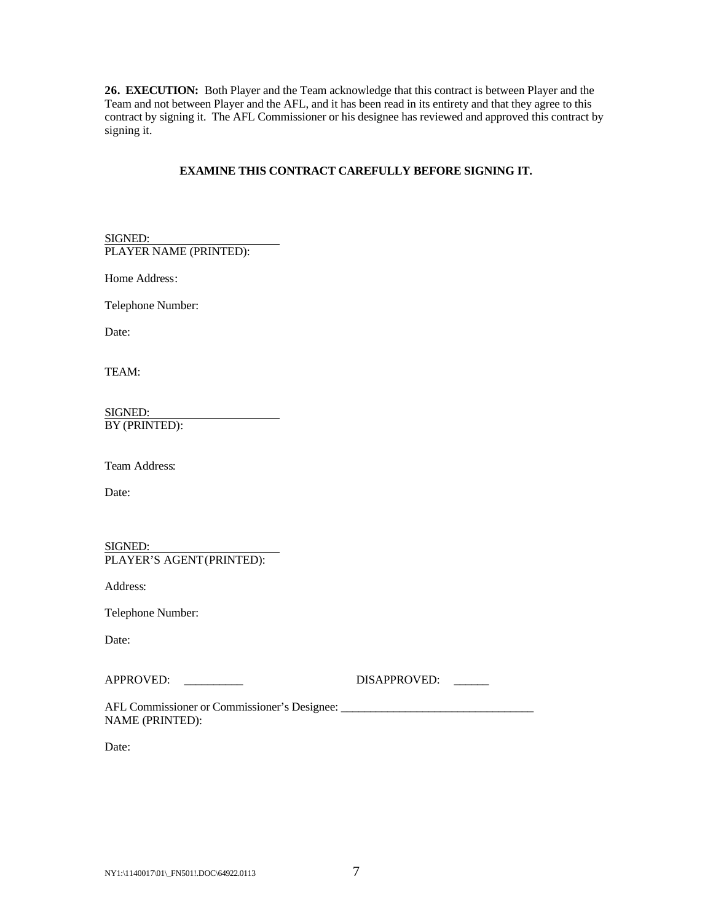**26. EXECUTION:** Both Player and the Team acknowledge that this contract is between Player and the Team and not between Player and the AFL, and it has been read in its entirety and that they agree to this contract by signing it. The AFL Commissioner or his designee has reviewed and approved this contract by signing it.

## **EXAMINE THIS CONTRACT CAREFULLY BEFORE SIGNING IT.**

SIGNED: PLAYER NAME (PRINTED):

Home Address:

Telephone Number:

Date:

TEAM:

SIGNED: BY (PRINTED):

Team Address:

Date:

SIGNED: PLAYER'S AGENT (PRINTED):

Address:

Telephone Number:

Date:

APPROVED: \_\_\_\_\_\_\_\_\_\_ DISAPPROVED: \_\_\_\_\_\_

AFL Commissioner or Commissioner's Designee: NAME (PRINTED):

Date: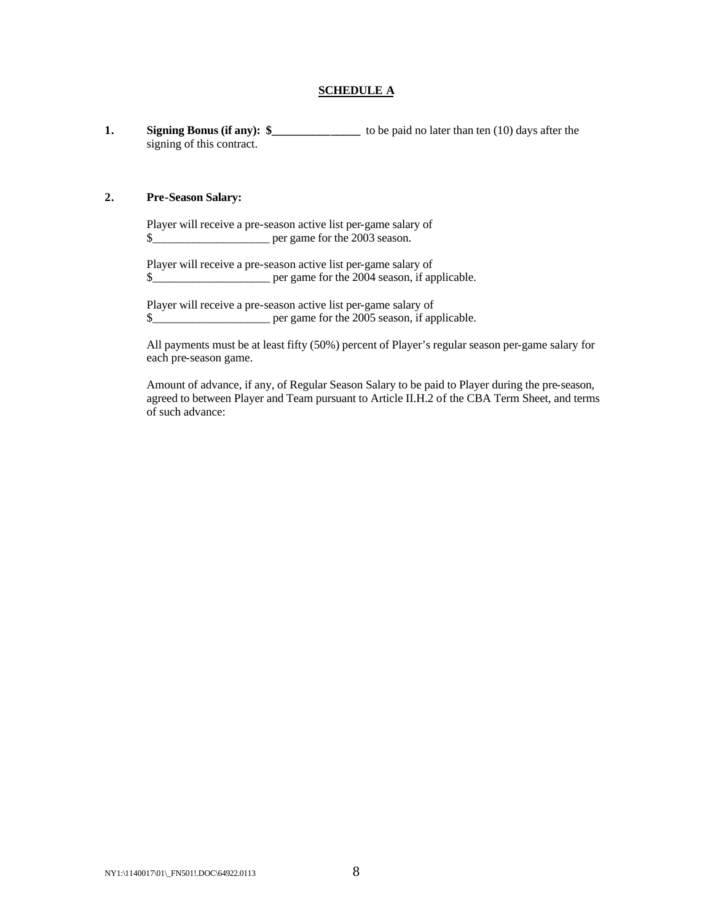## **SCHEDULE A**

**1. Signing Bonus (if any):**  $\frac{1}{2}$  **to be paid no later than ten (10) days after the** signing of this contract.

### **2. Pre-Season Salary:**

Player will receive a pre-season active list per-game salary of \$

Player will receive a pre-season active list per-game salary of \$

Player will receive a pre-season active list per-game salary of \$

All payments must be at least fifty (50%) percent of Player's regular season per-game salary for each pre-season game.

Amount of advance, if any, of Regular Season Salary to be paid to Player during the pre-season, agreed to between Player and Team pursuant to Article II.H.2 of the CBA Term Sheet, and terms of such advance: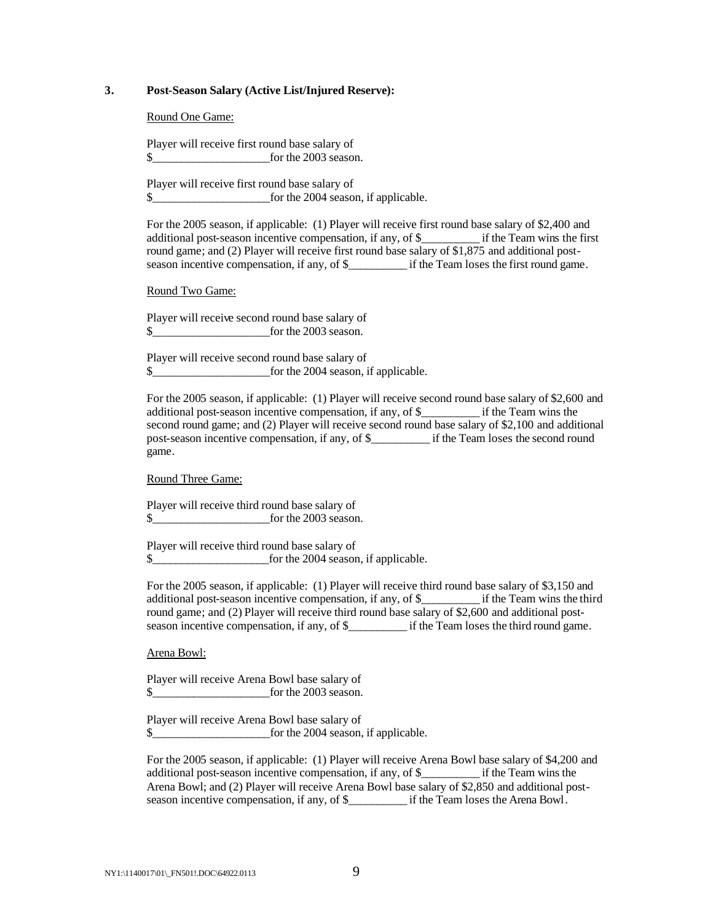### **3. Post-Season Salary (Active List/Injured Reserve):**

Round One Game:

Player will receive first round base salary of \$\_\_\_\_\_\_\_\_\_\_\_\_\_\_\_\_\_\_\_\_for the 2003 season.

Player will receive first round base salary of \$\_\_\_\_\_\_\_\_\_\_\_\_\_\_\_\_\_\_\_\_for the 2004 season, if applicable.

For the 2005 season, if applicable: (1) Player will receive first round base salary of \$2,400 and additional post-season incentive compensation, if any, of \$\_\_\_\_\_\_\_\_\_\_ if the Team wins the first round game; and (2) Player will receive first round base salary of \$1,875 and additional postseason incentive compensation, if any, of \$\_\_\_\_\_\_\_\_\_\_ if the Team loses the first round game.

Round Two Game:

Player will receive second round base salary of \$ for the 2003 season.

Player will receive second round base salary of \$

For the 2005 season, if applicable: (1) Player will receive second round base salary of \$2,600 and additional post-season incentive compensation, if any, of \$\_\_\_\_\_\_\_\_\_\_ if the Team wins the second round game; and (2) Player will receive second round base salary of \$2,100 and additional post-season incentive compensation, if any, of \$\_\_\_\_\_\_\_\_\_\_ if the Team loses the second round game.

Round Three Game:

Player will receive third round base salary of \$\_\_\_\_\_\_\_\_\_\_\_\_\_\_\_\_\_\_\_\_for the 2003 season.

Player will receive third round base salary of \$\_\_\_\_\_\_\_\_\_\_\_\_\_\_\_\_\_\_\_\_for the 2004 season, if applicable.

For the 2005 season, if applicable: (1) Player will receive third round base salary of \$3,150 and additional post-season incentive compensation, if any, of \$\_\_\_\_\_\_\_\_\_\_ if the Team wins the third round game; and (2) Player will receive third round base salary of \$2,600 and additional postseason incentive compensation, if any, of \$\_\_\_\_\_\_\_\_\_\_ if the Team loses the third round game.

Arena Bowl:

Player will receive Arena Bowl base salary of \$\_\_\_\_\_\_\_\_\_\_\_\_\_\_\_\_\_\_\_\_for the 2003 season.

Player will receive Arena Bowl base salary of \$\_\_\_\_\_\_\_\_\_\_\_\_\_\_\_\_\_\_\_\_for the 2004 season, if applicable.

For the 2005 season, if applicable: (1) Player will receive Arena Bowl base salary of \$4,200 and additional post-season incentive compensation, if any, of \$\_\_\_\_\_\_\_\_\_\_ if the Team wins the Arena Bowl; and (2) Player will receive Arena Bowl base salary of \$2,850 and additional postseason incentive compensation, if any, of \$\_\_\_\_\_\_\_\_\_\_ if the Team loses the Arena Bowl.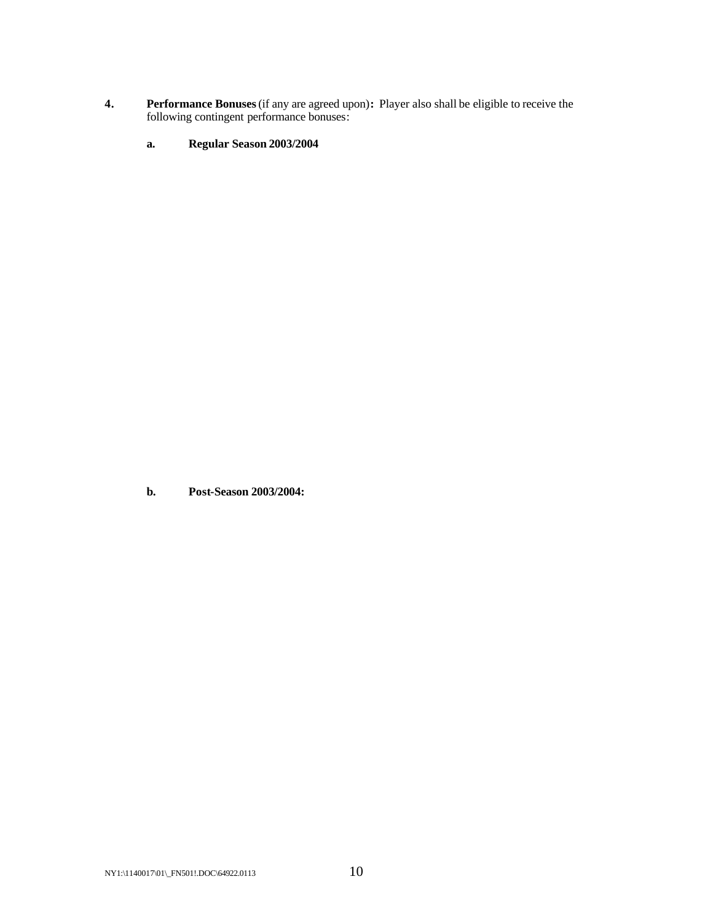- **4. Performance Bonuses** (if any are agreed upon)**:** Player also shall be eligible to receive the following contingent performance bonuses:
	- **a. Regular Season 2003/2004**

**b. Post-Season 2003/2004:**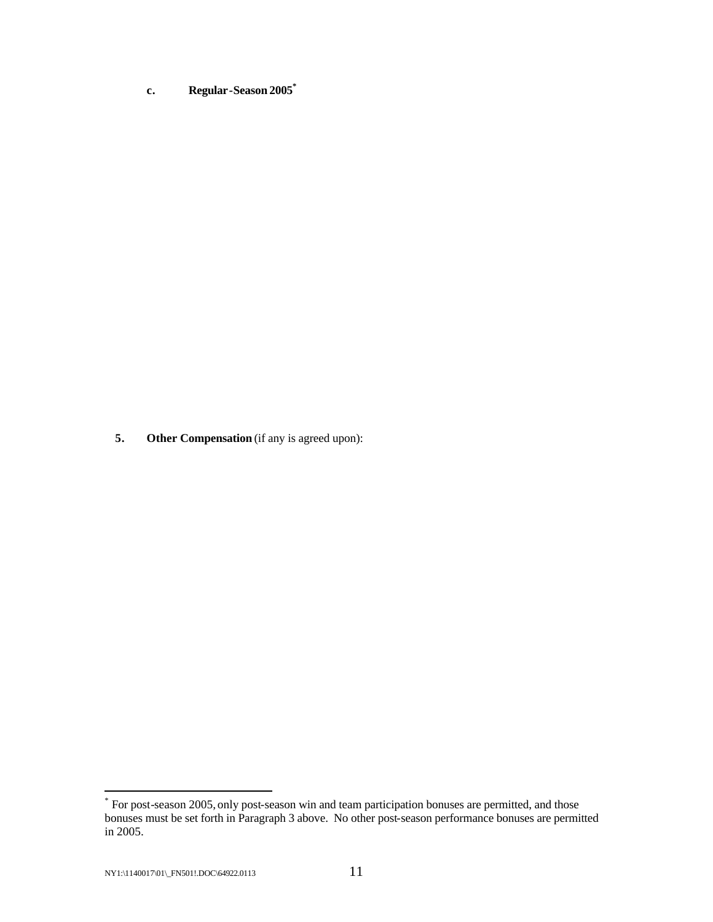**c. Regular-Season 2005\***

**5. Other Compensation** (if any is agreed upon):

 \* For post-season 2005, only post-season win and team participation bonuses are permitted, and those bonuses must be set forth in Paragraph 3 above. No other post-season performance bonuses are permitted in 2005.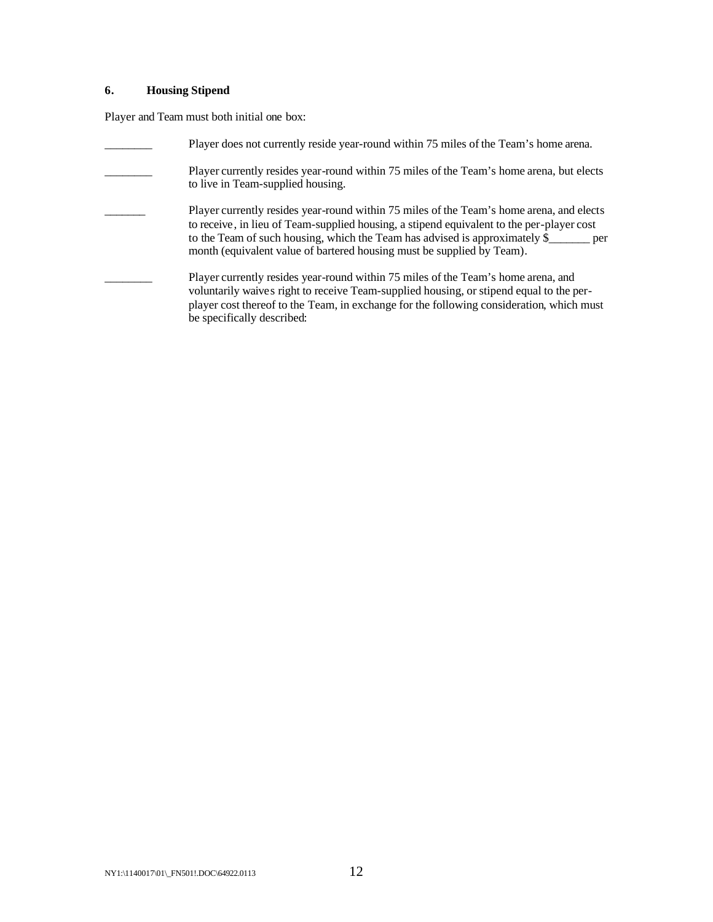# **6. Housing Stipend**

Player and Team must both initial one box:

| Player does not currently reside year-round within 75 miles of the Team's home arena.                                                                                                                                                                                                                                                          |
|------------------------------------------------------------------------------------------------------------------------------------------------------------------------------------------------------------------------------------------------------------------------------------------------------------------------------------------------|
| Player currently resides year-round within 75 miles of the Team's home arena, but elects<br>to live in Team-supplied housing.                                                                                                                                                                                                                  |
| Player currently resides year-round within 75 miles of the Team's home arena, and elects<br>to receive, in lieu of Team-supplied housing, a stipend equivalent to the per-player cost<br>to the Team of such housing, which the Team has advised is approximately \$<br>month (equivalent value of bartered housing must be supplied by Team). |
| Player currently resides year-round within 75 miles of the Team's home arena, and<br>voluntarily waives right to receive Team-supplied housing, or stipend equal to the per-<br>player cost thereof to the Team, in exchange for the following consideration, which must<br>be specifically described:                                         |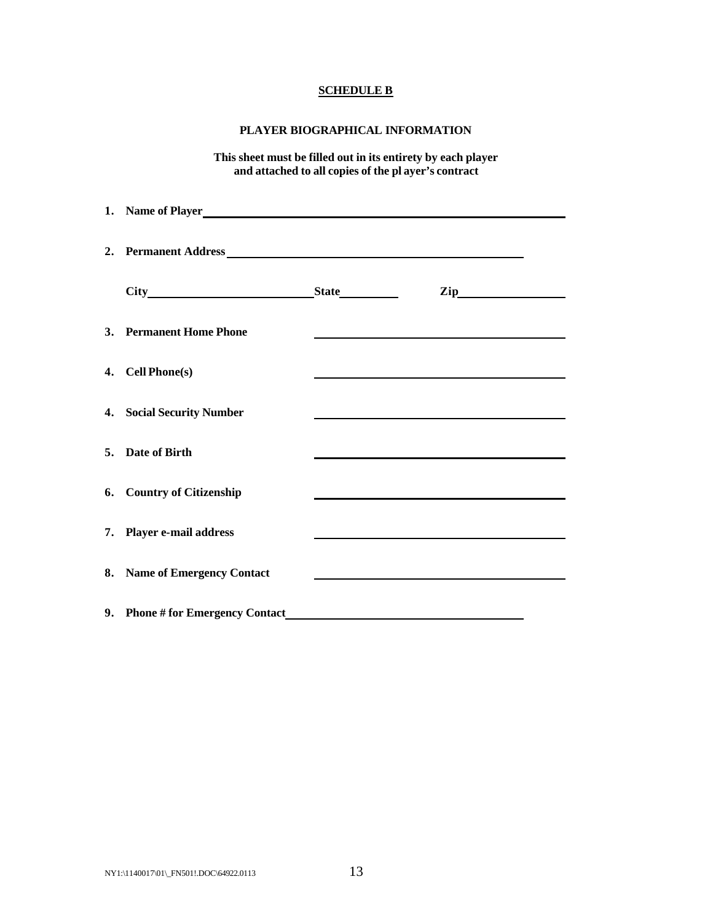# **SCHEDULE B**

## **PLAYER BIOGRAPHICAL INFORMATION**

**This sheet must be filled out in its entirety by each player and attached to all copies of the pl ayer's contract**

| 1. Name of Player<br><u>1. Name of Player</u> |  |                                                                                                                                                                                                                               |  |
|-----------------------------------------------|--|-------------------------------------------------------------------------------------------------------------------------------------------------------------------------------------------------------------------------------|--|
| 2. Permanent Address Management Address       |  |                                                                                                                                                                                                                               |  |
|                                               |  |                                                                                                                                                                                                                               |  |
| 3. Permanent Home Phone                       |  |                                                                                                                                                                                                                               |  |
| 4. Cell Phone(s)                              |  |                                                                                                                                                                                                                               |  |
| 4. Social Security Number                     |  | the control of the control of the control of the control of the control of the control of the control of the control of the control of the control of the control of the control of the control of the control of the control |  |
| 5. Date of Birth                              |  |                                                                                                                                                                                                                               |  |
| 6. Country of Citizenship                     |  |                                                                                                                                                                                                                               |  |
| 7. Player e-mail address                      |  | the control of the control of the control of the control of the control of the control of the control of the control of the control of the control of the control of the control of the control of the control of the control |  |
| 8. Name of Emergency Contact                  |  |                                                                                                                                                                                                                               |  |
| 9. Phone # for Emergency Contact              |  |                                                                                                                                                                                                                               |  |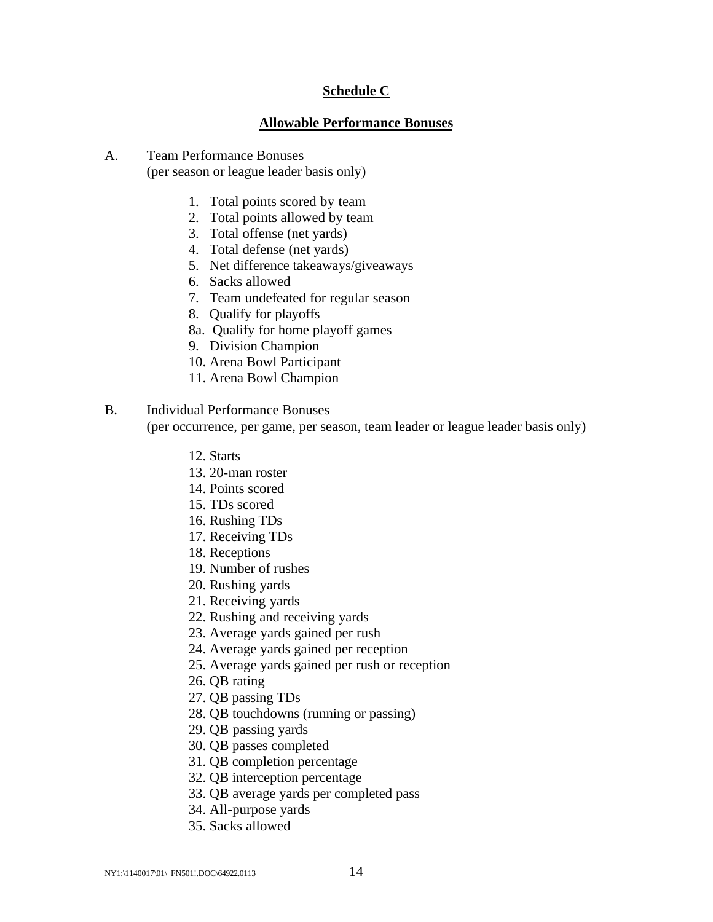## **Schedule C**

## **Allowable Performance Bonuses**

- A. Team Performance Bonuses (per season or league leader basis only)
	- 1. Total points scored by team
	- 2. Total points allowed by team
	- 3. Total offense (net yards)
	- 4. Total defense (net yards)
	- 5. Net difference takeaways/giveaways
	- 6. Sacks allowed
	- 7. Team undefeated for regular season
	- 8. Qualify for playoffs
	- 8a. Qualify for home playoff games
	- 9. Division Champion
	- 10. Arena Bowl Participant
	- 11. Arena Bowl Champion
- B. Individual Performance Bonuses (per occurrence, per game, per season, team leader or league leader basis only)
	- 12. Starts
	- 13. 20-man roster
	- 14. Points scored
	- 15. TDs scored
	- 16. Rushing TDs
	- 17. Receiving TDs
	- 18. Receptions
	- 19. Number of rushes
	- 20. Rushing yards
	- 21. Receiving yards
	- 22. Rushing and receiving yards
	- 23. Average yards gained per rush
	- 24. Average yards gained per reception
	- 25. Average yards gained per rush or reception
	- 26. QB rating
	- 27. QB passing TDs
	- 28. QB touchdowns (running or passing)
	- 29. QB passing yards
	- 30. QB passes completed
	- 31. QB completion percentage
	- 32. QB interception percentage
	- 33. QB average yards per completed pass
	- 34. All-purpose yards
	- 35. Sacks allowed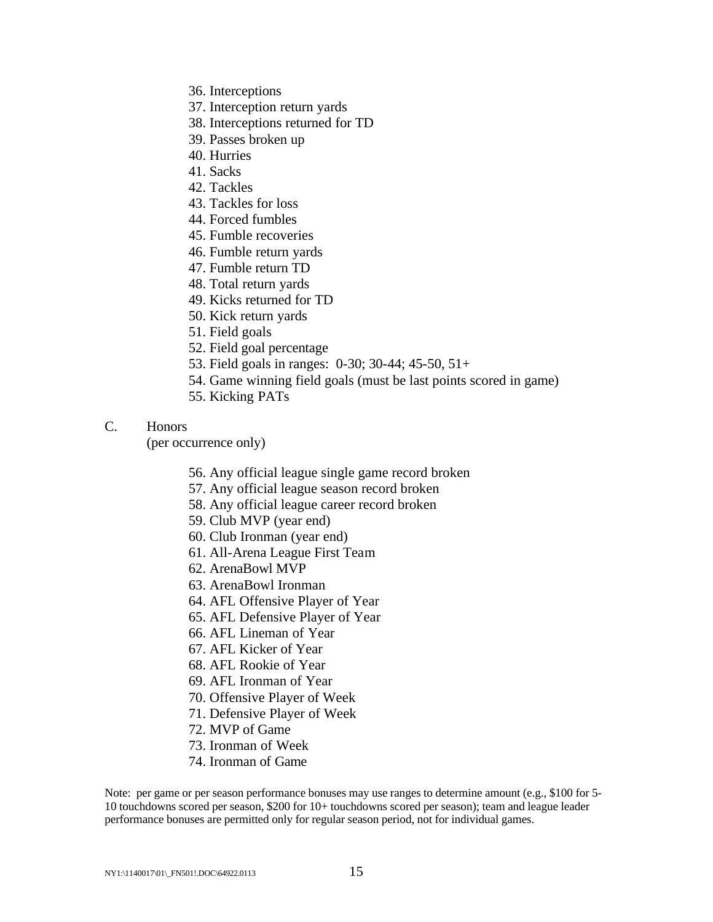- 36. Interceptions
- 37. Interception return yards
- 38. Interceptions returned for TD
- 39. Passes broken up
- 40. Hurries
- 41. Sacks
- 42. Tackles
- 43. Tackles for loss
- 44. Forced fumbles
- 45. Fumble recoveries
- 46. Fumble return yards
- 47. Fumble return TD
- 48. Total return yards
- 49. Kicks returned for TD
- 50. Kick return yards
- 51. Field goals
- 52. Field goal percentage
- 53. Field goals in ranges: 0-30; 30-44; 45-50, 51+
- 54. Game winning field goals (must be last points scored in game)
- 55. Kicking PATs

# C. Honors

(per occurrence only)

- 56. Any official league single game record broken
- 57. Any official league season record broken
- 58. Any official league career record broken
- 59. Club MVP (year end)
- 60. Club Ironman (year end)
- 61. All-Arena League First Team
- 62. ArenaBowl MVP
- 63. ArenaBowl Ironman
- 64. AFL Offensive Player of Year
- 65. AFL Defensive Player of Year
- 66. AFL Lineman of Year
- 67. AFL Kicker of Year
- 68. AFL Rookie of Year
- 69. AFL Ironman of Year
- 70. Offensive Player of Week
- 71. Defensive Player of Week
- 72. MVP of Game
- 73. Ironman of Week
- 74. Ironman of Game

Note: per game or per season performance bonuses may use ranges to determine amount (e.g., \$100 for 5- 10 touchdowns scored per season, \$200 for 10+ touchdowns scored per season); team and league leader performance bonuses are permitted only for regular season period, not for individual games.